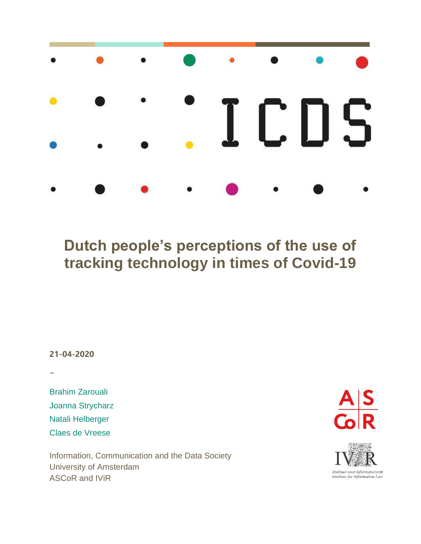

## **Dutch people's perceptions of the use of tracking technology in times of Covid-19**

**21-04-2020**

-

Brahim Zarouali Joanna Strycharz Natali Helberger Claes de Vreese

Information, Communication and the Data Society University of Amsterdam ASCoR and IViR



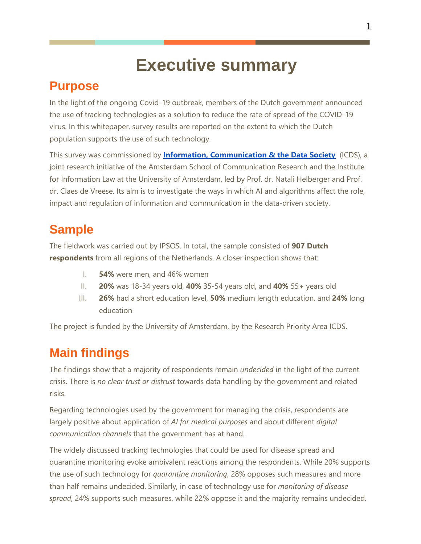## **Executive summary**

### **Purpose**

In the light of the ongoing Covid-19 outbreak, members of the Dutch government announced the use of tracking technologies as a solution to reduce the rate of spread of the COVID-19 virus. In this whitepaper, survey results are reported on the extent to which the Dutch population supports the use of such technology.

This survey was commissioned by **[Information, Communication & the Data Society](https://www.uva-icds.net/)** (ICDS), a joint research initiative of the Amsterdam School of Communication Research and the Institute for Information Law at the University of Amsterdam, led by Prof. dr. Natali Helberger and Prof. dr. Claes de Vreese. Its aim is to investigate the ways in which AI and algorithms affect the role, impact and regulation of information and communication in the data-driven society.

## **Sample**

The fieldwork was carried out by IPSOS. In total, the sample consisted of **907 Dutch respondents** from all regions of the Netherlands. A closer inspection shows that:

- I. **54%** were men, and 46% women
- II. **20%** was 18-34 years old, **40%** 35-54 years old, and **40%** 55+ years old
- III. **26%** had a short education level, **50%** medium length education, and **24%** long education

The project is funded by the University of Amsterdam, by the Research Priority Area ICDS.

## **Main findings**

The findings show that a majority of respondents remain *undecided* in the light of the current crisis. There is *no clear trust or distrust* towards data handling by the government and related risks.

Regarding technologies used by the government for managing the crisis, respondents are largely positive about application of *AI for medical purposes* and about different *digital communication channels* that the government has at hand.

The widely discussed tracking technologies that could be used for disease spread and quarantine monitoring evoke ambivalent reactions among the respondents. While 20% supports the use of such technology for *quarantine monitoring*, 28% opposes such measures and more than half remains undecided. Similarly, in case of technology use for *monitoring of disease spread*, 24% supports such measures, while 22% oppose it and the majority remains undecided.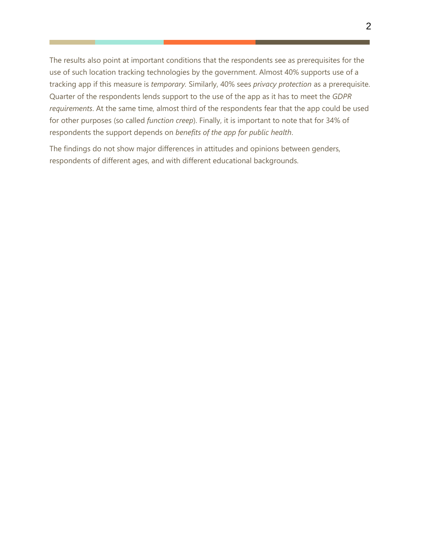The results also point at important conditions that the respondents see as prerequisites for the use of such location tracking technologies by the government. Almost 40% supports use of a tracking app if this measure is *temporary.* Similarly, 40% sees *privacy protection* as a prerequisite. Quarter of the respondents lends support to the use of the app as it has to meet the *GDPR requirements*. At the same time, almost third of the respondents fear that the app could be used for other purposes (so called *function creep*). Finally, it is important to note that for 34% of respondents the support depends on *benefits of the app for public health*.

The findings do not show major differences in attitudes and opinions between genders, respondents of different ages, and with different educational backgrounds.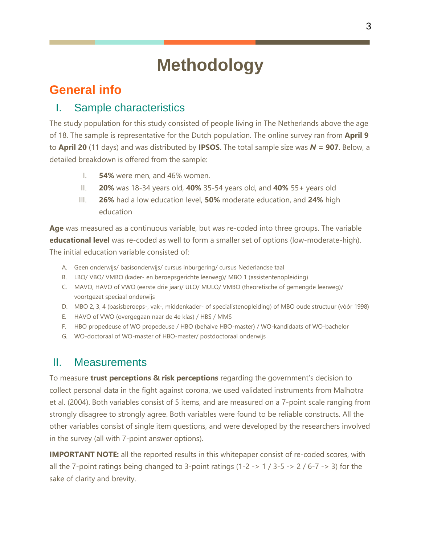# **Methodology**

### **General info**

### I. Sample characteristics

The study population for this study consisted of people living in The Netherlands above the age of 18. The sample is representative for the Dutch population. The online survey ran from **April 9** to **April 20** (11 days) and was distributed by **IPSOS**. The total sample size was *N =* **907**. Below, a detailed breakdown is offered from the sample:

- I. **54%** were men, and 46% women.
- II. **20%** was 18-34 years old, **40%** 35-54 years old, and **40%** 55+ years old
- III. **26%** had a low education level, **50%** moderate education, and **24%** high education

**Age** was measured as a continuous variable, but was re-coded into three groups. The variable **educational level** was re-coded as well to form a smaller set of options (low-moderate-high). The initial education variable consisted of:

- A. Geen onderwijs/ basisonderwijs/ cursus inburgering/ cursus Nederlandse taal
- B. LBO/ VBO/ VMBO (kader- en beroepsgerichte leerweg)/ MBO 1 (assistentenopleiding)
- C. MAVO, HAVO of VWO (eerste drie jaar)/ ULO/ MULO/ VMBO (theoretische of gemengde leerweg)/ voortgezet speciaal onderwijs
- D. MBO 2, 3, 4 (basisberoeps-, vak-, middenkader- of specialistenopleiding) of MBO oude structuur (vóór 1998)
- E. HAVO of VWO (overgegaan naar de 4e klas) / HBS / MMS
- F. HBO propedeuse of WO propedeuse / HBO (behalve HBO-master) / WO-kandidaats of WO-bachelor
- G. WO-doctoraal of WO-master of HBO-master/ postdoctoraal onderwijs

### II. Measurements

To measure **trust perceptions & risk perceptions** regarding the government's decision to collect personal data in the fight against corona, we used validated instruments from Malhotra et al. (2004). Both variables consist of 5 items, and are measured on a 7-point scale ranging from strongly disagree to strongly agree. Both variables were found to be reliable constructs. All the other variables consist of single item questions, and were developed by the researchers involved in the survey (all with 7-point answer options).

**IMPORTANT NOTE:** all the reported results in this whitepaper consist of re-coded scores, with all the 7-point ratings being changed to 3-point ratings (1-2 -> 1 / 3-5 -> 2 / 6-7 -> 3) for the sake of clarity and brevity.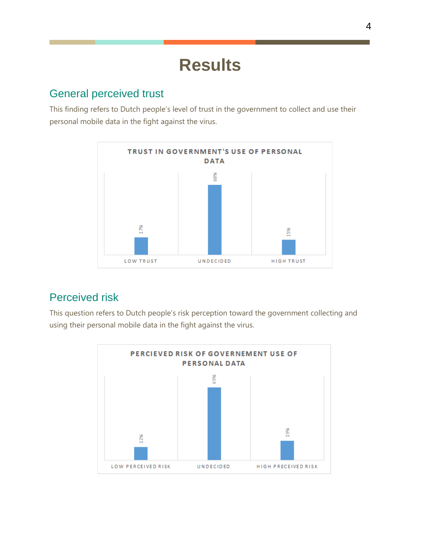## **Results**

#### General perceived trust

This finding refers to Dutch people's level of trust in the government to collect and use their personal mobile data in the fight against the virus.



### Perceived risk

This question refers to Dutch people's risk perception toward the government collecting and using their personal mobile data in the fight against the virus.

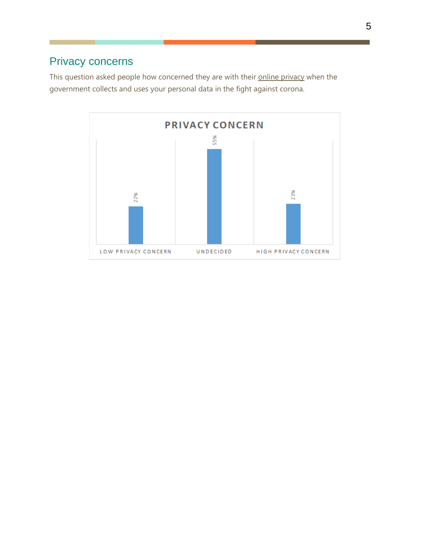### Privacy concerns

This question asked people how concerned they are with their online privacy when the government collects and uses your personal data in the fight against corona.

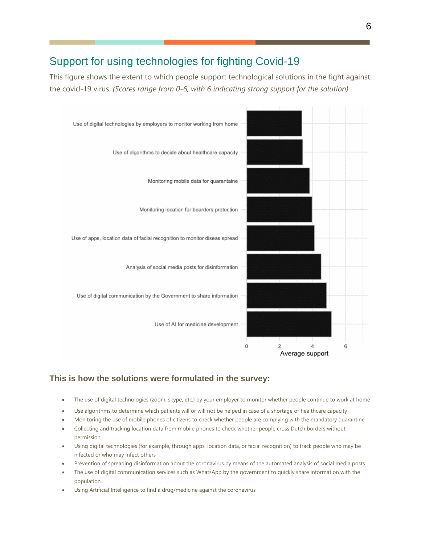### Support for using technologies for fighting Covid-19

This figure shows the extent to which people support technological solutions in the fight against the covid-19 virus. *(Scores range from 0-6, with 6 indicating strong support for the solution)* 



#### **This is how the solutions were formulated in the survey:**

- The use of digital technologies (zoom, skype, etc.) by your employer to monitor whether people continue to work at home
- Use algorithms to determine which patients will or will not be helped in case of a shortage of healthcare capacity
- Monitoring the use of mobile phones of citizens to check whether people are complying with the mandatory quarantine
- Collecting and tracking location data from mobile phones to check whether people cross Dutch borders without permission
- Using digital technologies (for example, through apps, location data, or facial recognition) to track people who may be infected or who may infect others
- Prevention of spreading disinformation about the coronavirus by means of the automated analysis of social media posts
- The use of digital communication services such as WhatsApp by the government to quickly share information with the population.
- Using Artificial Intelligence to find a drug/medicine against the coronavirus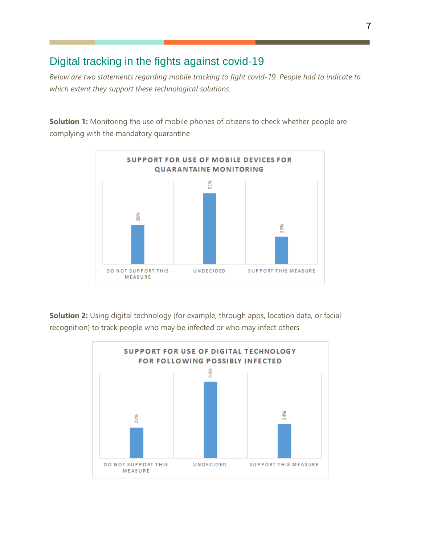#### Digital tracking in the fights against covid-19

*Below are two statements regarding mobile tracking to fight covid-19. People had to indicate to which extent they support these technological solutions.* 

**Solution 1:** Monitoring the use of mobile phones of citizens to check whether people are complying with the mandatory quarantine



**Solution 2:** Using digital technology (for example, through apps, location data, or facial recognition) to track people who may be infected or who may infect others

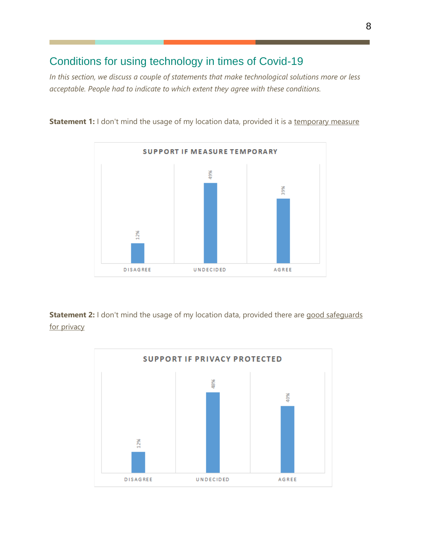### Conditions for using technology in times of Covid-19

*In this section, we discuss a couple of statements that make technological solutions more or less acceptable. People had to indicate to which extent they agree with these conditions.* 

**Statement 1:** I don't mind the usage of my location data, provided it is a temporary measure



**Statement 2:** I don't mind the usage of my location data, provided there are good safeguards for privacy